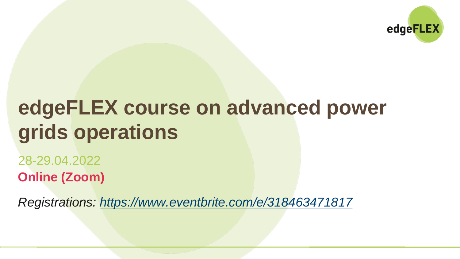

# **edgeFLEX course on advanced power grids operations**

28-29.04.2022 **Online (Zoom)**

*Registrations:<https://www.eventbrite.com/e/318463471817>*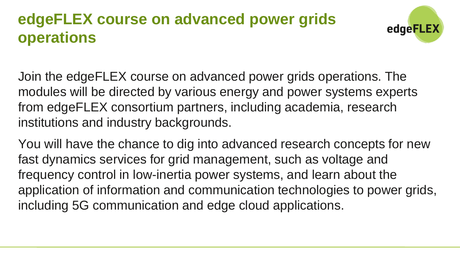# **edgeFLEX course on advanced power grids operations**



Join the edgeFLEX course on advanced power grids operations. The modules will be directed by various energy and power systems experts from edgeFLEX consortium partners, including academia, research institutions and industry backgrounds.

You will have the chance to dig into advanced research concepts for new fast dynamics services for grid management, such as voltage and frequency control in low-inertia power systems, and learn about the application of information and communication technologies to power grids, including 5G communication and edge cloud applications.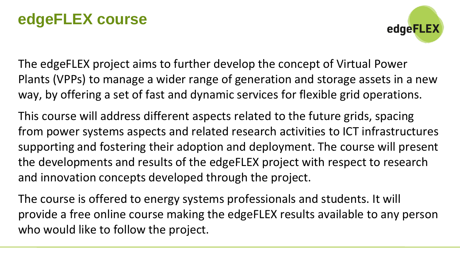## **edgeFLEX course**



The edgeFLEX project aims to further develop the concept of Virtual Power Plants (VPPs) to manage a wider range of generation and storage assets in a new way, by offering a set of fast and dynamic services for flexible grid operations.

This course will address different aspects related to the future grids, spacing from power systems aspects and related research activities to ICT infrastructures supporting and fostering their adoption and deployment. The course will present the developments and results of the edgeFLEX project with respect to research and innovation concepts developed through the project.

The course is offered to energy systems professionals and students. It will provide a free online course making the edgeFLEX results available to any person who would like to follow the project.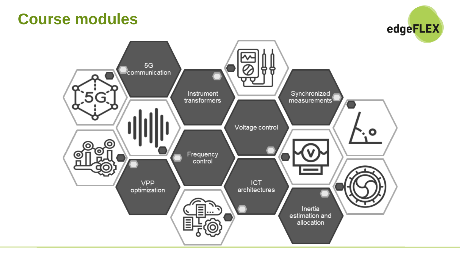#### **Course modules**



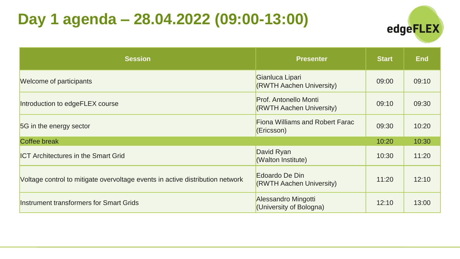# **Day 1 agenda – 28.04.2022 (09:00-13:00)**



| <b>Session</b>                                                                | <b>Presenter</b>                                         | <b>Start</b> | <b>End</b> |
|-------------------------------------------------------------------------------|----------------------------------------------------------|--------------|------------|
| Welcome of participants                                                       | Gianluca Lipari<br>(RWTH Aachen University)              | 09:00        | 09:10      |
| Introduction to edgeFLEX course                                               | <b>Prof. Antonello Monti</b><br>(RWTH Aachen University) | 09:10        | 09:30      |
| 5G in the energy sector                                                       | <b>Fiona Williams and Robert Farac</b><br>(Ericsson)     | 09:30        | 10:20      |
| Coffee break                                                                  |                                                          | 10:20        | 10:30      |
| <b>ICT Architectures in the Smart Grid</b>                                    | David Ryan<br>(Walton Institute)                         | 10:30        | 11:20      |
| Voltage control to mitigate overvoltage events in active distribution network | Edoardo De Din<br>(RWTH Aachen University)               | 11:20        | 12:10      |
| Instrument transformers for Smart Grids                                       | Alessandro Mingotti<br>(University of Bologna)           | 12:10        | 13:00      |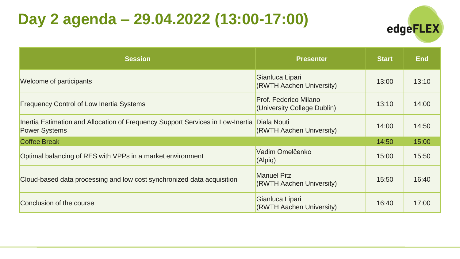# **Day 2 agenda – 29.04.2022 (13:00-17:00)**



| <b>Session</b>                                                                                                     | <b>Presenter</b>                                            | <b>Start</b> | <b>End</b> |
|--------------------------------------------------------------------------------------------------------------------|-------------------------------------------------------------|--------------|------------|
| Welcome of participants                                                                                            | Gianluca Lipari<br>(RWTH Aachen University)                 | 13:00        | 13:10      |
| <b>Frequency Control of Low Inertia Systems</b>                                                                    | <b>Prof. Federico Milano</b><br>(University College Dublin) | 13:10        | 14:00      |
| Inertia Estimation and Allocation of Frequency Support Services in Low-Inertia Diala Nouti<br><b>Power Systems</b> | (RWTH Aachen University)                                    | 14:00        | 14:50      |
| <b>Coffee Break</b>                                                                                                |                                                             | 14:50        | 15:00      |
| Optimal balancing of RES with VPPs in a market environment                                                         | Vadim Omelčenko<br>(Alpig)                                  | 15:00        | 15:50      |
| Cloud-based data processing and low cost synchronized data acquisition                                             | <b>Manuel Pitz</b><br>(RWTH Aachen University)              | 15:50        | 16:40      |
| Conclusion of the course                                                                                           | Gianluca Lipari<br>(RWTH Aachen University)                 | 16:40        | 17:00      |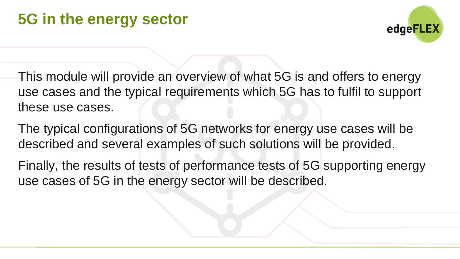

- This module will provide an overview of what 5G is and offers to energy use cases and the typical requirements which 5G has to fulfil to support these use cases.
- The typical configurations of 5G networks for energy use cases will be described and several examples of such solutions will be provided.
- Finally, the results of tests of performance tests of 5G supporting energy use cases of 5G in the energy sector will be described.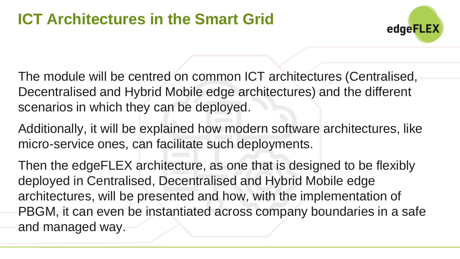

The module will be centred on common ICT architectures (Centralised, Decentralised and Hybrid Mobile edge architectures) and the different scenarios in which they can be deployed.

Additionally, it will be explained how modern software architectures, like micro-service ones, can facilitate such deployments.

Then the edgeFLEX architecture, as one that is designed to be flexibly deployed in Centralised, Decentralised and Hybrid Mobile edge architectures, will be presented and how, with the implementation of PBGM, it can even be instantiated across company boundaries in a safe and managed way.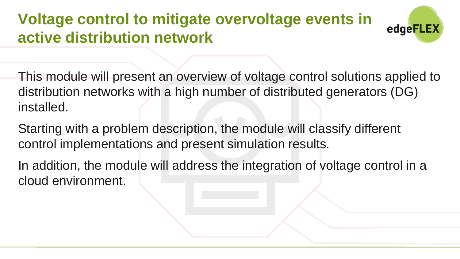# **Voltage control to mitigate overvoltage events in active distribution network**



This module will present an overview of voltage control solutions applied to distribution networks with a high number of distributed generators (DG) installed.

Starting with a problem description, the module will classify different control implementations and present simulation results.

In addition, the module will address the integration of voltage control in a cloud environment.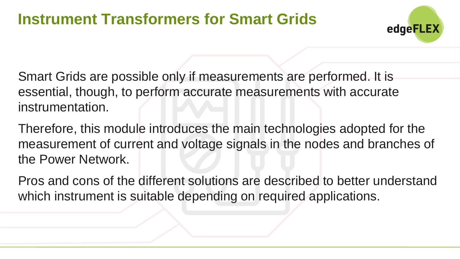#### **Instrument Transformers for Smart Grids**



Smart Grids are possible only if measurements are performed. It is essential, though, to perform accurate measurements with accurate instrumentation.

Therefore, this module introduces the main technologies adopted for the measurement of current and voltage signals in the nodes and branches of the Power Network.

Pros and cons of the different solutions are described to better understand which instrument is suitable depending on required applications.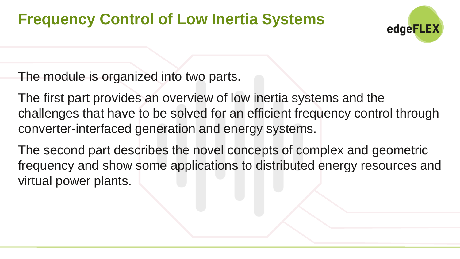### **Frequency Control of Low Inertia Systems**



The module is organized into two parts.

The first part provides an overview of low inertia systems and the challenges that have to be solved for an efficient frequency control through converter-interfaced generation and energy systems.

The second part describes the novel concepts of complex and geometric frequency and show some applications to distributed energy resources and virtual power plants.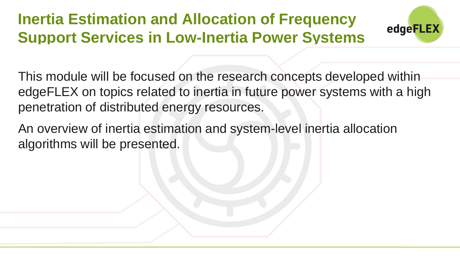# **Inertia Estimation and Allocation of Frequency Support Services in Low-Inertia Power Systems**



This module will be focused on the research concepts developed within edgeFLEX on topics related to inertia in future power systems with a high penetration of distributed energy resources.

An overview of inertia estimation and system-level inertia allocation algorithms will be presented.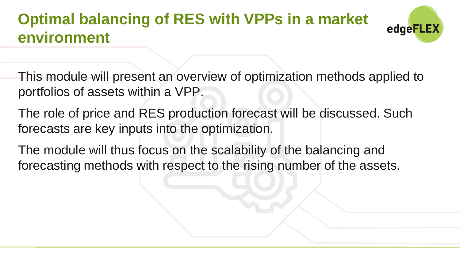# **Optimal balancing of RES with VPPs in a market environment**



- This module will present an overview of optimization methods applied to portfolios of assets within a VPP.
- The role of price and RES production forecast will be discussed. Such forecasts are key inputs into the optimization.
- The module will thus focus on the scalability of the balancing and forecasting methods with respect to the rising number of the assets.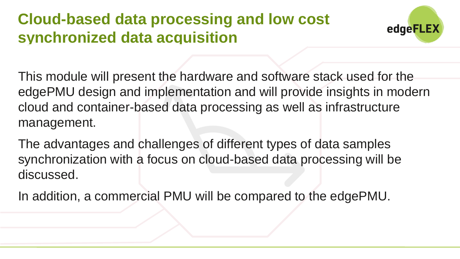# **Cloud-based data processing and low cost synchronized data acquisition**



This module will present the hardware and software stack used for the edgePMU design and implementation and will provide insights in modern cloud and container-based data processing as well as infrastructure management.

The advantages and challenges of different types of data samples synchronization with a focus on cloud-based data processing will be discussed.

In addition, a commercial PMU will be compared to the edgePMU.